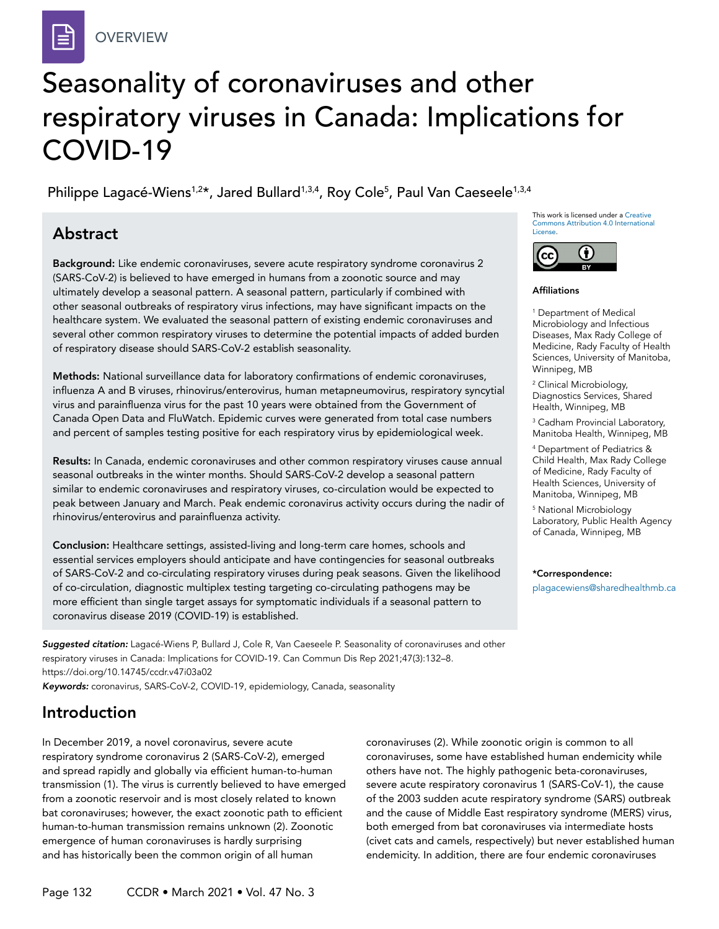# Seasonality of coronaviruses and other respiratory viruses in Canada: Implications for COVID-19

Philippe Lagacé-Wiens<sup>1,2</sup>\*, Jared Bullard<sup>1,3,4</sup>, Roy Cole<sup>5</sup>, Paul Van Caeseele<sup>1,3,4</sup>

# Abstract

Background: Like endemic coronaviruses, severe acute respiratory syndrome coronavirus 2 (SARS-CoV-2) is believed to have emerged in humans from a zoonotic source and may ultimately develop a seasonal pattern. A seasonal pattern, particularly if combined with other seasonal outbreaks of respiratory virus infections, may have significant impacts on the healthcare system. We evaluated the seasonal pattern of existing endemic coronaviruses and several other common respiratory viruses to determine the potential impacts of added burden of respiratory disease should SARS-CoV-2 establish seasonality.

Methods: National surveillance data for laboratory confirmations of endemic coronaviruses, influenza A and B viruses, rhinovirus/enterovirus, human metapneumovirus, respiratory syncytial virus and parainfluenza virus for the past 10 years were obtained from the Government of Canada Open Data and FluWatch. Epidemic curves were generated from total case numbers and percent of samples testing positive for each respiratory virus by epidemiological week.

Results: In Canada, endemic coronaviruses and other common respiratory viruses cause annual seasonal outbreaks in the winter months. Should SARS-CoV-2 develop a seasonal pattern similar to endemic coronaviruses and respiratory viruses, co-circulation would be expected to peak between January and March. Peak endemic coronavirus activity occurs during the nadir of rhinovirus/enterovirus and parainfluenza activity.

Conclusion: Healthcare settings, assisted-living and long-term care homes, schools and essential services employers should anticipate and have contingencies for seasonal outbreaks of SARS-CoV-2 and co-circulating respiratory viruses during peak seasons. Given the likelihood of co-circulation, diagnostic multiplex testing targeting co-circulating pathogens may be more efficient than single target assays for symptomatic individuals if a seasonal pattern to coronavirus disease 2019 (COVID-19) is established.

*Suggested citation:* Lagacé-Wiens P, Bullard J, Cole R, Van Caeseele P. Seasonality of coronaviruses and other respiratory viruses in Canada: Implications for COVID-19. Can Commun Dis Rep 2021;47(3):132–8. https://doi.org/10.14745/ccdr.v47i03a02 *Keywords:* coronavirus, SARS-CoV-2, COVID-19, epidemiology, Canada, seasonality

Introduction

In December 2019, a novel coronavirus, severe acute respiratory syndrome coronavirus 2 (SARS-CoV-2), emerged and spread rapidly and globally via efficient human-to-human transmission (1). The virus is currently believed to have emerged from a zoonotic reservoir and is most closely related to known bat coronaviruses; however, the exact zoonotic path to efficient human-to-human transmission remains unknown (2). Zoonotic emergence of human coronaviruses is hardly surprising and has historically been the common origin of all human

coronaviruses (2). While zoonotic origin is common to all coronaviruses, some have established human endemicity while others have not. The highly pathogenic beta-coronaviruses, severe acute respiratory coronavirus 1 (SARS-CoV-1), the cause of the 2003 sudden acute respiratory syndrome (SARS) outbreak and the cause of Middle East respiratory syndrome (MERS) virus, both emerged from bat coronaviruses via intermediate hosts (civet cats and camels, respectively) but never established human endemicity. In addition, there are four endemic coronaviruses

This work is licensed under a [Creative](https://creativecommons.org/licenses/by/4.0/)  [Commons Attribution 4.0 International](https://creativecommons.org/licenses/by/4.0/)  [License](https://creativecommons.org/licenses/by/4.0/).



#### Affiliations

1 Department of Medical Microbiology and Infectious Diseases, Max Rady College of Medicine, Rady Faculty of Health Sciences, University of Manitoba, Winnipeg, MB

<sup>2</sup> Clinical Microbiology, Diagnostics Services, Shared Health, Winnipeg, MB

3 Cadham Provincial Laboratory, Manitoba Health, Winnipeg, MB

4 Department of Pediatrics & Child Health, Max Rady College of Medicine, Rady Faculty of Health Sciences, University of Manitoba, Winnipeg, MB

5 National Microbiology Laboratory, Public Health Agency of Canada, Winnipeg, MB

\*Correspondence:

[plagacewiens@sharedhealthmb.ca](mailto:plagacewiens%40sharedhealthmb.ca?subject=)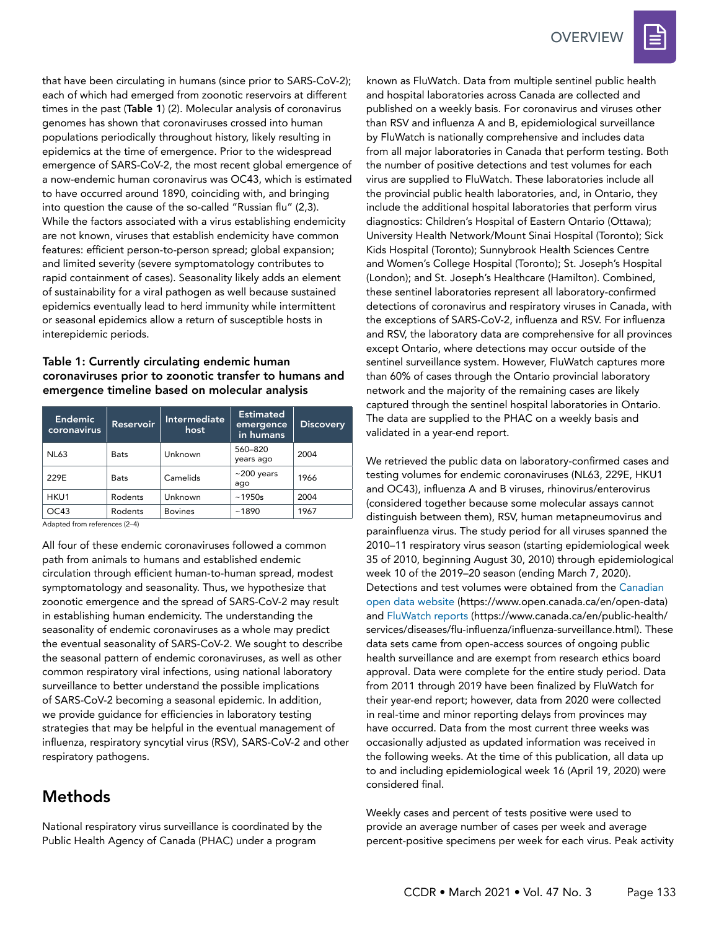

#### Table 1: Currently circulating endemic human coronaviruses prior to zoonotic transfer to humans and emergence timeline based on molecular analysis

| <b>Endemic</b><br>coronavirus | <b>Reservoir</b> | Intermediate<br>host | <b>Estimated</b><br>emergence<br>in humans | <b>Discovery</b> |
|-------------------------------|------------------|----------------------|--------------------------------------------|------------------|
| <b>NL63</b>                   | <b>Bats</b>      | Unknown              | 560-820<br>years ago                       | 2004             |
| 229E                          | <b>Bats</b>      | Camelids             | $~1$ 200 years<br>ago                      | 1966             |
| HKU1                          | Rodents          | Unknown              | ~1950s                                     | 2004             |
| OC43                          | Rodents          | <b>Bovines</b>       | ~1890                                      | 1967             |

Adapted from references (2–4)

All four of these endemic coronaviruses followed a common path from animals to humans and established endemic circulation through efficient human-to-human spread, modest symptomatology and seasonality. Thus, we hypothesize that zoonotic emergence and the spread of SARS-CoV-2 may result in establishing human endemicity. The understanding the seasonality of endemic coronaviruses as a whole may predict the eventual seasonality of SARS-CoV-2. We sought to describe the seasonal pattern of endemic coronaviruses, as well as other common respiratory viral infections, using national laboratory surveillance to better understand the possible implications of SARS-CoV-2 becoming a seasonal epidemic. In addition, we provide guidance for efficiencies in laboratory testing strategies that may be helpful in the eventual management of influenza, respiratory syncytial virus (RSV), SARS-CoV-2 and other respiratory pathogens.

# Methods

National respiratory virus surveillance is coordinated by the Public Health Agency of Canada (PHAC) under a program

known as FluWatch. Data from multiple sentinel public health and hospital laboratories across Canada are collected and published on a weekly basis. For coronavirus and viruses other than RSV and influenza A and B, epidemiological surveillance by FluWatch is nationally comprehensive and includes data from all major laboratories in Canada that perform testing. Both the number of positive detections and test volumes for each virus are supplied to FluWatch. These laboratories include all the provincial public health laboratories, and, in Ontario, they include the additional hospital laboratories that perform virus diagnostics: Children's Hospital of Eastern Ontario (Ottawa); University Health Network/Mount Sinai Hospital (Toronto); Sick Kids Hospital (Toronto); Sunnybrook Health Sciences Centre and Women's College Hospital (Toronto); St. Joseph's Hospital (London); and St. Joseph's Healthcare (Hamilton). Combined, these sentinel laboratories represent all laboratory-confirmed detections of coronavirus and respiratory viruses in Canada, with the exceptions of SARS-CoV-2, influenza and RSV. For influenza and RSV, the laboratory data are comprehensive for all provinces except Ontario, where detections may occur outside of the sentinel surveillance system. However, FluWatch captures more than 60% of cases through the Ontario provincial laboratory network and the majority of the remaining cases are likely captured through the sentinel hospital laboratories in Ontario. The data are supplied to the PHAC on a weekly basis and validated in a year-end report.

We retrieved the public data on laboratory-confirmed cases and testing volumes for endemic coronaviruses (NL63, 229E, HKU1 and OC43), influenza A and B viruses, rhinovirus/enterovirus (considered together because some molecular assays cannot distinguish between them), RSV, human metapneumovirus and parainfluenza virus. The study period for all viruses spanned the 2010–11 respiratory virus season (starting epidemiological week 35 of 2010, beginning August 30, 2010) through epidemiological week 10 of the 2019–20 season (ending March 7, 2020). Detections and test volumes were obtained from the [Canadian](https://www.open.canada.ca/en/open-data)  [open data website](https://www.open.canada.ca/en/open-data) (https://www.open.canada.ca/en/open-data) and [FluWatch reports](https://www.canada.ca/en/public-health/services/diseases/flu-influenza/influenza-surveillance.html) ([https://www.canada.ca/en/public-health/](https://www.canada.ca/en/public-health/services/diseases/flu-influenza/influenza-surveillance.html) [services/diseases/flu-influenza/influenza-surveillance.html](https://www.canada.ca/en/public-health/services/diseases/flu-influenza/influenza-surveillance.html)). These data sets came from open-access sources of ongoing public health surveillance and are exempt from research ethics board approval. Data were complete for the entire study period. Data from 2011 through 2019 have been finalized by FluWatch for their year-end report; however, data from 2020 were collected in real-time and minor reporting delays from provinces may have occurred. Data from the most current three weeks was occasionally adjusted as updated information was received in the following weeks. At the time of this publication, all data up to and including epidemiological week 16 (April 19, 2020) were considered final.

Weekly cases and percent of tests positive were used to provide an average number of cases per week and average percent-positive specimens per week for each virus. Peak activity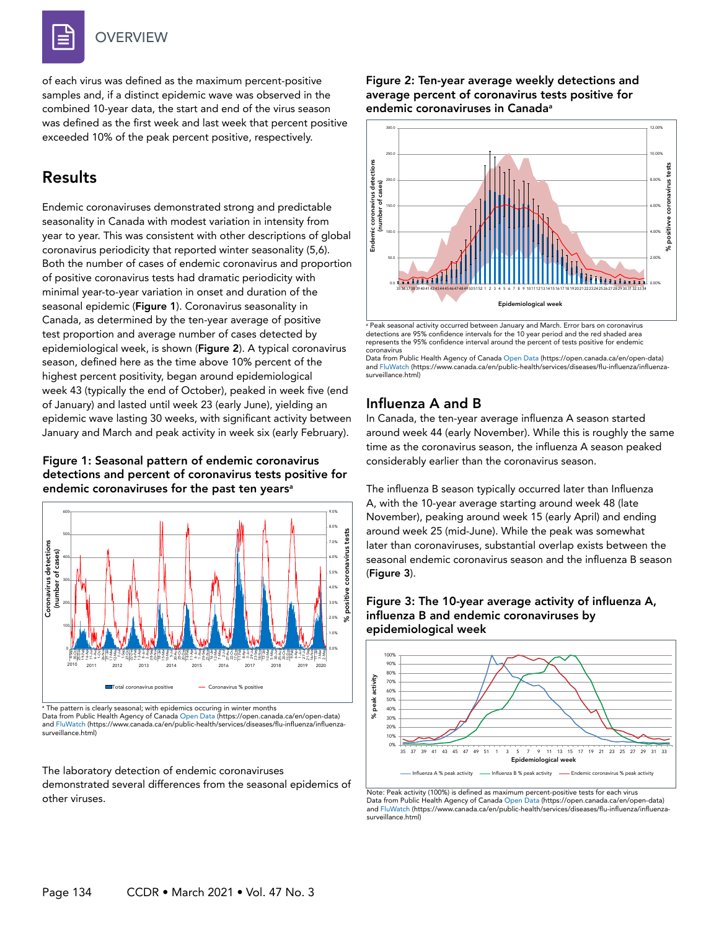of each virus was defined as the maximum percent-positive samples and, if a distinct epidemic wave was observed in the combined 10-year data, the start and end of the virus season was defined as the first week and last week that percent positive exceeded 10% of the peak percent positive, respectively.

# Results

Endemic coronaviruses demonstrated strong and predictable seasonality in Canada with modest variation in intensity from year to year. This was consistent with other descriptions of global coronavirus periodicity that reported winter seasonality (5,6). Both the number of cases of endemic coronavirus and proportion of positive coronavirus tests had dramatic periodicity with minimal year-to-year variation in onset and duration of the seasonal epidemic (Figure 1). Coronavirus seasonality in Canada, as determined by the ten-year average of positive test proportion and average number of cases detected by epidemiological week, is shown (Figure 2). A typical coronavirus season, defined here as the time above 10% percent of the highest percent positivity, began around epidemiological week 43 (typically the end of October), peaked in week five (end of January) and lasted until week 23 (early June), yielding an epidemic wave lasting 30 weeks, with significant activity between January and March and peak activity in week six (early February).

#### Figure 1: Seasonal pattern of endemic coronavirus detections and percent of coronavirus tests positive for endemic coronaviruses for the past ten years<sup>a</sup>



<sup>a</sup> The pattern is clearly seasonal; with epidemics occuring in winter months Data from Public Health Agency of [Canada Open Dat](https://open.canada.ca/en/open-data)a (https://open.canada.ca/en/open-data) and [FluWatch](https://www.canada.ca/en/public-health/services/diseases/flu-influenza/influenza-surveillance.html) (https://www.canada.ca/en/public-health/services/diseases/flu-influenza/influenzasurveillance.html)

#### The laboratory detection of endemic coronaviruses demonstrated several differences from the seasonal epidemics of other viruses.

#### Figure 2: Ten-year average weekly detections and average percent of coronavirus tests positive for endemic coronaviruses in Canada<sup>a</sup>



a Peak seasonal activity occurred between January and March. Error bars on coronavirus detections are 95% confidence intervals for the 10 year period and the red shaded area represents the 95% confidence interval around the percent of tests positive for endemic coronavirus

### Influenza A and B

In Canada, the ten-year average influenza A season started around week 44 (early November). While this is roughly the same time as the coronavirus season, the influenza A season peaked considerably earlier than the coronavirus season.

The influenza B season typically occurred later than Influenza A, with the 10-year average starting around week 48 (late November), peaking around week 15 (early April) and ending around week 25 (mid-June). While the peak was somewhat later than coronaviruses, substantial overlap exists between the seasonal endemic coronavirus season and the influenza B season (Figure 3).





Note: Peak activity (100%) is defined as maximum percent-positive tests for each virus Data from Public Health Agency of [Canada Open Dat](https://open.canada.ca/en/open-data)a (https://open.canada.ca/en/open-data) an[d FluWatch](https://www.canada.ca/en/public-health/services/diseases/flu-influenza/influenza-surveillance.html) (https://www.canada.ca/en/public-health/services/diseases/flu-influenza/influenzasurveillance.html)

Data from Public Health Agency of [Canada Open Data](https://www.open.canada.ca/en/open-data) (https://open.canada.ca/en/open-data) and [FluWatch](https://www.canada.ca/en/public-health/services/diseases/flu-influenza/influenza-surveillance.html) (https://www.canada.ca/en/public-health/services/diseases/flu-influenza/influenzasurveillance.html)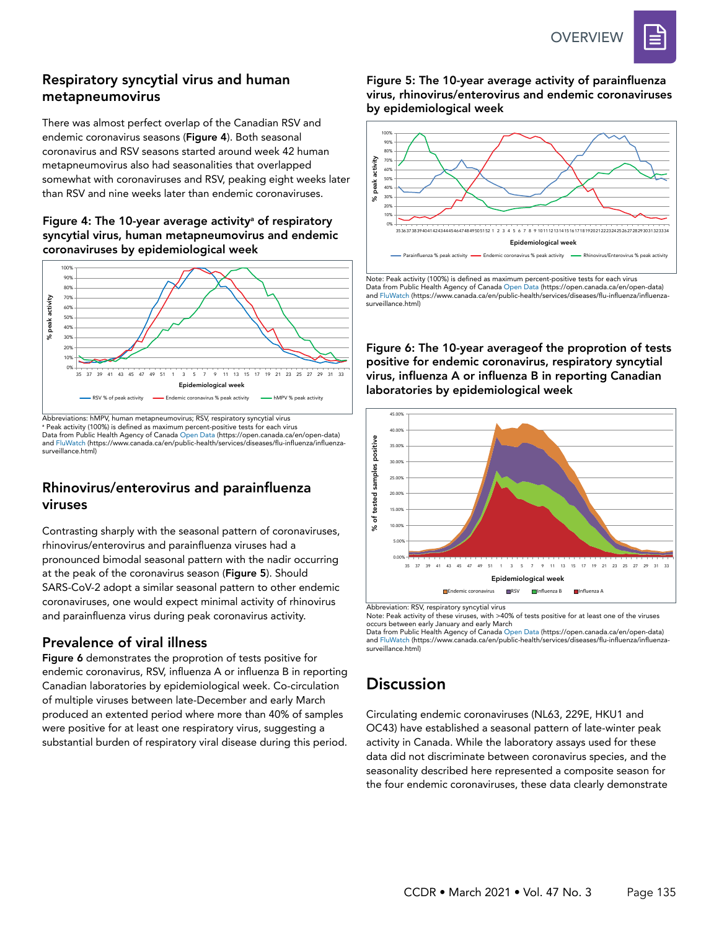

### Respiratory syncytial virus and human metapneumovirus

There was almost perfect overlap of the Canadian RSV and endemic coronavirus seasons (Figure 4). Both seasonal coronavirus and RSV seasons started around week 42 human metapneumovirus also had seasonalities that overlapped somewhat with coronaviruses and RSV, peaking eight weeks later than RSV and nine weeks later than endemic coronaviruses.

#### Figure 4: The 10-year average activity<sup>a</sup> of respiratory syncytial virus, human metapneumovirus and endemic coronaviruses by epidemiological week



Abbreviations: hMPV, human metapneumovirus; RSV, respiratory syncytial virus a Peak activity (100%) is defined as maximum percent-positive tests for each virus Data from Public Health Agency of [Canada Open Data](https://open.canada.ca/en/open-data) (https://open.canada.ca/en/open-data) and [FluWatch](https://www.canada.ca/en/public-health/services/diseases/flu-influenza/influenza-surveillance.html) (https://www.canada.ca/en/public-health/services/diseases/flu-influenza/influenzasurveillance.html)

#### Rhinovirus/enterovirus and parainfluenza viruses

Contrasting sharply with the seasonal pattern of coronaviruses, rhinovirus/enterovirus and parainfluenza viruses had a pronounced bimodal seasonal pattern with the nadir occurring at the peak of the coronavirus season (Figure 5). Should SARS-CoV-2 adopt a similar seasonal pattern to other endemic coronaviruses, one would expect minimal activity of rhinovirus and parainfluenza virus during peak coronavirus activity.

#### Prevalence of viral illness

Figure 6 demonstrates the proprotion of tests positive for endemic coronavirus, RSV, influenza A or influenza B in reporting Canadian laboratories by epidemiological week. Co-circulation of multiple viruses between late-December and early March produced an extented period where more than 40% of samples were positive for at least one respiratory virus, suggesting a substantial burden of respiratory viral disease during this period. Figure 5: The 10-year average activity of parainfluenza virus, rhinovirus/enterovirus and endemic coronaviruses by epidemiological week



Note: Peak activity (100%) is defined as maximum percent-positive tests for each virus Data from Public Health Agency of [Canada Open Data](https://www.open.canada.ca/en/open-data) (https://open.canada.ca/en/open-data) and [FluWatch](https://www.canada.ca/en/public-health/services/diseases/flu-influenza/influenza-surveillance.html) (https://www.canada.ca/en/public-health/services/diseases/flu-influenza/influenzasurveillance.html)

Figure 6: The 10-year averageof the proprotion of tests positive for endemic coronavirus, respiratory syncytial virus, influenza A or influenza B in reporting Canadian laboratories by epidemiological week



Abbreviation: RSV, respiratory syncytial virus

Note: Peak activity of these viruses, with >40% of tests positive for at least one of the viruses occurs between early January and early March

Data from Public Health Agency of [Canada Open Data](https://www.open.canada.ca/en/open-data) (https://open.canada.ca/en/open-data) and [FluWatch](https://www.canada.ca/en/public-health/services/diseases/flu-influenza/influenza-surveillance.html) (https://www.canada.ca/en/public-health/services/diseases/flu-influenza/influenzasurveillance.html)

# **Discussion**

Circulating endemic coronaviruses (NL63, 229E, HKU1 and OC43) have established a seasonal pattern of late-winter peak activity in Canada. While the laboratory assays used for these data did not discriminate between coronavirus species, and the seasonality described here represented a composite season for the four endemic coronaviruses, these data clearly demonstrate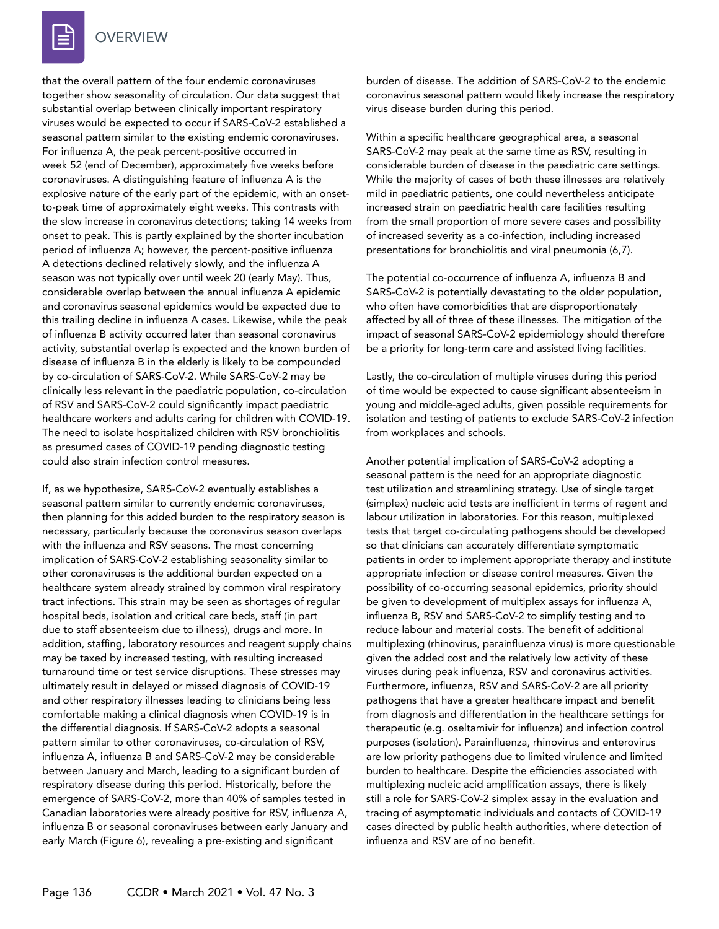

that the overall pattern of the four endemic coronaviruses together show seasonality of circulation. Our data suggest that substantial overlap between clinically important respiratory viruses would be expected to occur if SARS-CoV-2 established a seasonal pattern similar to the existing endemic coronaviruses. For influenza A, the peak percent-positive occurred in week 52 (end of December), approximately five weeks before coronaviruses. A distinguishing feature of influenza A is the explosive nature of the early part of the epidemic, with an onsetto-peak time of approximately eight weeks. This contrasts with the slow increase in coronavirus detections; taking 14 weeks from onset to peak. This is partly explained by the shorter incubation period of influenza A; however, the percent-positive influenza A detections declined relatively slowly, and the influenza A season was not typically over until week 20 (early May). Thus, considerable overlap between the annual influenza A epidemic and coronavirus seasonal epidemics would be expected due to this trailing decline in influenza A cases. Likewise, while the peak of influenza B activity occurred later than seasonal coronavirus activity, substantial overlap is expected and the known burden of disease of influenza B in the elderly is likely to be compounded by co-circulation of SARS-CoV-2. While SARS-CoV-2 may be clinically less relevant in the paediatric population, co-circulation of RSV and SARS-CoV-2 could significantly impact paediatric healthcare workers and adults caring for children with COVID-19. The need to isolate hospitalized children with RSV bronchiolitis as presumed cases of COVID-19 pending diagnostic testing could also strain infection control measures.

If, as we hypothesize, SARS-CoV-2 eventually establishes a seasonal pattern similar to currently endemic coronaviruses, then planning for this added burden to the respiratory season is necessary, particularly because the coronavirus season overlaps with the influenza and RSV seasons. The most concerning implication of SARS-CoV-2 establishing seasonality similar to other coronaviruses is the additional burden expected on a healthcare system already strained by common viral respiratory tract infections. This strain may be seen as shortages of regular hospital beds, isolation and critical care beds, staff (in part due to staff absenteeism due to illness), drugs and more. In addition, staffing, laboratory resources and reagent supply chains may be taxed by increased testing, with resulting increased turnaround time or test service disruptions. These stresses may ultimately result in delayed or missed diagnosis of COVID-19 and other respiratory illnesses leading to clinicians being less comfortable making a clinical diagnosis when COVID-19 is in the differential diagnosis. If SARS-CoV-2 adopts a seasonal pattern similar to other coronaviruses, co-circulation of RSV, influenza A, influenza B and SARS-CoV-2 may be considerable between January and March, leading to a significant burden of respiratory disease during this period. Historically, before the emergence of SARS-CoV-2, more than 40% of samples tested in Canadian laboratories were already positive for RSV, influenza A, influenza B or seasonal coronaviruses between early January and early March (Figure 6), revealing a pre-existing and significant

burden of disease. The addition of SARS-CoV-2 to the endemic coronavirus seasonal pattern would likely increase the respiratory virus disease burden during this period.

Within a specific healthcare geographical area, a seasonal SARS-CoV-2 may peak at the same time as RSV, resulting in considerable burden of disease in the paediatric care settings. While the majority of cases of both these illnesses are relatively mild in paediatric patients, one could nevertheless anticipate increased strain on paediatric health care facilities resulting from the small proportion of more severe cases and possibility of increased severity as a co-infection, including increased presentations for bronchiolitis and viral pneumonia (6,7).

The potential co-occurrence of influenza A, influenza B and SARS-CoV-2 is potentially devastating to the older population, who often have comorbidities that are disproportionately affected by all of three of these illnesses. The mitigation of the impact of seasonal SARS-CoV-2 epidemiology should therefore be a priority for long-term care and assisted living facilities.

Lastly, the co-circulation of multiple viruses during this period of time would be expected to cause significant absenteeism in young and middle-aged adults, given possible requirements for isolation and testing of patients to exclude SARS-CoV-2 infection from workplaces and schools.

Another potential implication of SARS-CoV-2 adopting a seasonal pattern is the need for an appropriate diagnostic test utilization and streamlining strategy. Use of single target (simplex) nucleic acid tests are inefficient in terms of regent and labour utilization in laboratories. For this reason, multiplexed tests that target co-circulating pathogens should be developed so that clinicians can accurately differentiate symptomatic patients in order to implement appropriate therapy and institute appropriate infection or disease control measures. Given the possibility of co-occurring seasonal epidemics, priority should be given to development of multiplex assays for influenza A, influenza B, RSV and SARS-CoV-2 to simplify testing and to reduce labour and material costs. The benefit of additional multiplexing (rhinovirus, parainfluenza virus) is more questionable given the added cost and the relatively low activity of these viruses during peak influenza, RSV and coronavirus activities. Furthermore, influenza, RSV and SARS-CoV-2 are all priority pathogens that have a greater healthcare impact and benefit from diagnosis and differentiation in the healthcare settings for therapeutic (e.g. oseltamivir for influenza) and infection control purposes (isolation). Parainfluenza, rhinovirus and enterovirus are low priority pathogens due to limited virulence and limited burden to healthcare. Despite the efficiencies associated with multiplexing nucleic acid amplification assays, there is likely still a role for SARS-CoV-2 simplex assay in the evaluation and tracing of asymptomatic individuals and contacts of COVID-19 cases directed by public health authorities, where detection of influenza and RSV are of no benefit.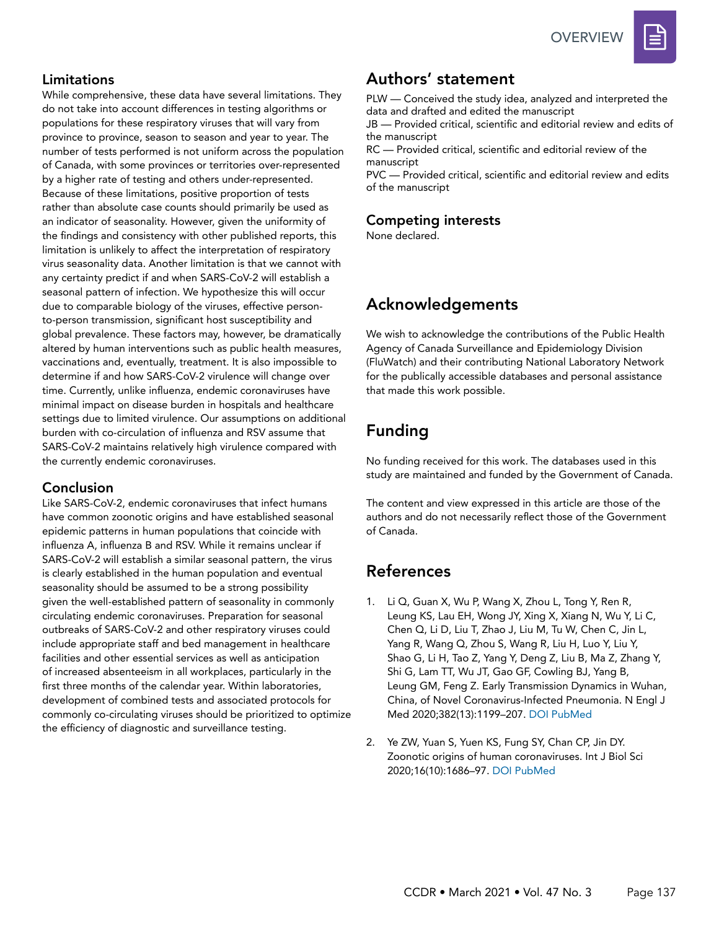

# Limitations

While comprehensive, these data have several limitations. They do not take into account differences in testing algorithms or populations for these respiratory viruses that will vary from province to province, season to season and year to year. The number of tests performed is not uniform across the population of Canada, with some provinces or territories over-represented by a higher rate of testing and others under-represented. Because of these limitations, positive proportion of tests rather than absolute case counts should primarily be used as an indicator of seasonality. However, given the uniformity of the findings and consistency with other published reports, this limitation is unlikely to affect the interpretation of respiratory virus seasonality data. Another limitation is that we cannot with any certainty predict if and when SARS-CoV-2 will establish a seasonal pattern of infection. We hypothesize this will occur due to comparable biology of the viruses, effective personto-person transmission, significant host susceptibility and global prevalence. These factors may, however, be dramatically altered by human interventions such as public health measures, vaccinations and, eventually, treatment. It is also impossible to determine if and how SARS-CoV-2 virulence will change over time. Currently, unlike influenza, endemic coronaviruses have minimal impact on disease burden in hospitals and healthcare settings due to limited virulence. Our assumptions on additional burden with co-circulation of influenza and RSV assume that SARS-CoV-2 maintains relatively high virulence compared with the currently endemic coronaviruses.

#### Conclusion

Like SARS-CoV-2, endemic coronaviruses that infect humans have common zoonotic origins and have established seasonal epidemic patterns in human populations that coincide with influenza A, influenza B and RSV. While it remains unclear if SARS-CoV-2 will establish a similar seasonal pattern, the virus is clearly established in the human population and eventual seasonality should be assumed to be a strong possibility given the well-established pattern of seasonality in commonly circulating endemic coronaviruses. Preparation for seasonal outbreaks of SARS-CoV-2 and other respiratory viruses could include appropriate staff and bed management in healthcare facilities and other essential services as well as anticipation of increased absenteeism in all workplaces, particularly in the first three months of the calendar year. Within laboratories, development of combined tests and associated protocols for commonly co-circulating viruses should be prioritized to optimize the efficiency of diagnostic and surveillance testing.

# Authors' statement

PLW — Conceived the study idea, analyzed and interpreted the data and drafted and edited the manuscript

JB — Provided critical, scientific and editorial review and edits of the manuscript

RC — Provided critical, scientific and editorial review of the manuscript

PVC — Provided critical, scientific and editorial review and edits of the manuscript

# Competing interests

None declared.

# Acknowledgements

We wish to acknowledge the contributions of the Public Health Agency of Canada Surveillance and Epidemiology Division (FluWatch) and their contributing National Laboratory Network for the publically accessible databases and personal assistance that made this work possible.

# Funding

No funding received for this work. The databases used in this study are maintained and funded by the Government of Canada.

The content and view expressed in this article are those of the authors and do not necessarily reflect those of the Government of Canada.

# References

- 1. Li Q, Guan X, Wu P, Wang X, Zhou L, Tong Y, Ren R, Leung KS, Lau EH, Wong JY, Xing X, Xiang N, Wu Y, Li C, Chen Q, Li D, Liu T, Zhao J, Liu M, Tu W, Chen C, Jin L, Yang R, Wang Q, Zhou S, Wang R, Liu H, Luo Y, Liu Y, Shao G, Li H, Tao Z, Yang Y, Deng Z, Liu B, Ma Z, Zhang Y, Shi G, Lam TT, Wu JT, Gao GF, Cowling BJ, Yang B, Leung GM, Feng Z. Early Transmission Dynamics in Wuhan, China, of Novel Coronavirus-Infected Pneumonia. N Engl J Med 2020;382(13):1199–207. [DOI](https://doi.org/10.1056/NEJMoa2001316) [PubMed](https://www.ncbi.nlm.nih.gov/entrez/query.fcgi?cmd=Retrieve&db=PubMed&list_uids=31995857&dopt=Abstract)
- 2. Ye ZW, Yuan S, Yuen KS, Fung SY, Chan CP, Jin DY. Zoonotic origins of human coronaviruses. Int J Biol Sci 2020;16(10):1686–97. [DOI](https://doi.org/10.7150/ijbs.45472) [PubMed](https://www.ncbi.nlm.nih.gov/entrez/query.fcgi?cmd=Retrieve&db=PubMed&list_uids=32226286&dopt=Abstract)